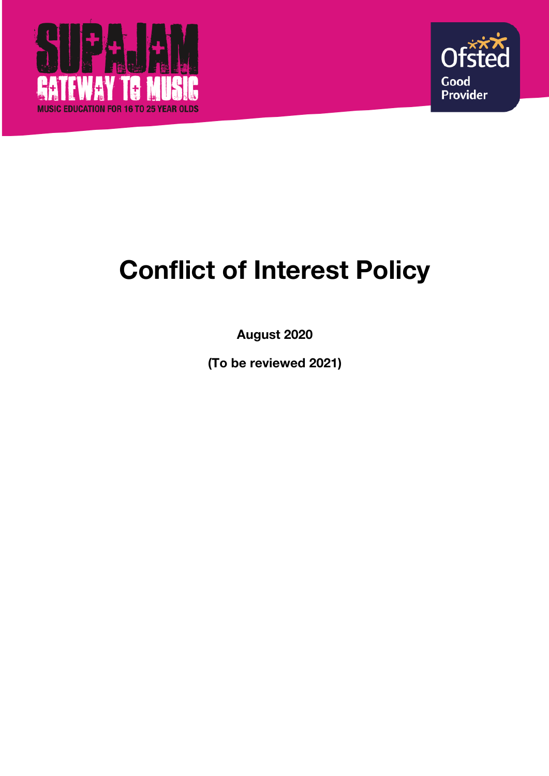



# **Conflict of Interest Policy**

**August 2020**

**(To be reviewed 2021)**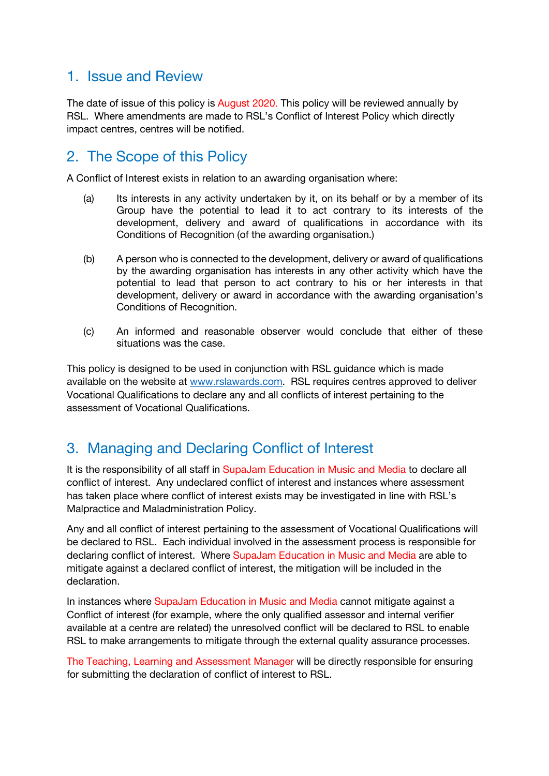#### 1. Issue and Review

The date of issue of this policy is August 2020. This policy will be reviewed annually by RSL. Where amendments are made to RSL's Conflict of Interest Policy which directly impact centres, centres will be notified.

### 2. The Scope of this Policy

A Conflict of Interest exists in relation to an awarding organisation where:

- (a) Its interests in any activity undertaken by it, on its behalf or by a member of its Group have the potential to lead it to act contrary to its interests of the development, delivery and award of qualifications in accordance with its Conditions of Recognition (of the awarding organisation.)
- (b) A person who is connected to the development, delivery or award of qualifications by the awarding organisation has interests in any other activity which have the potential to lead that person to act contrary to his or her interests in that development, delivery or award in accordance with the awarding organisation's Conditions of Recognition.
- (c) An informed and reasonable observer would conclude that either of these situations was the case.

This policy is designed to be used in conjunction with RSL guidance which is made available on the website at www.rslawards.com. RSL requires centres approved to deliver Vocational Qualifications to declare any and all conflicts of interest pertaining to the assessment of Vocational Qualifications.

## 3. Managing and Declaring Conflict of Interest

It is the responsibility of all staff in SupaJam Education in Music and Media to declare all conflict of interest. Any undeclared conflict of interest and instances where assessment has taken place where conflict of interest exists may be investigated in line with RSL's Malpractice and Maladministration Policy.

Any and all conflict of interest pertaining to the assessment of Vocational Qualifications will be declared to RSL. Each individual involved in the assessment process is responsible for declaring conflict of interest. Where SupaJam Education in Music and Media are able to mitigate against a declared conflict of interest, the mitigation will be included in the declaration.

In instances where SupaJam Education in Music and Media cannot mitigate against a Conflict of interest (for example, where the only qualified assessor and internal verifier available at a centre are related) the unresolved conflict will be declared to RSL to enable RSL to make arrangements to mitigate through the external quality assurance processes.

The Teaching, Learning and Assessment Manager will be directly responsible for ensuring for submitting the declaration of conflict of interest to RSL.